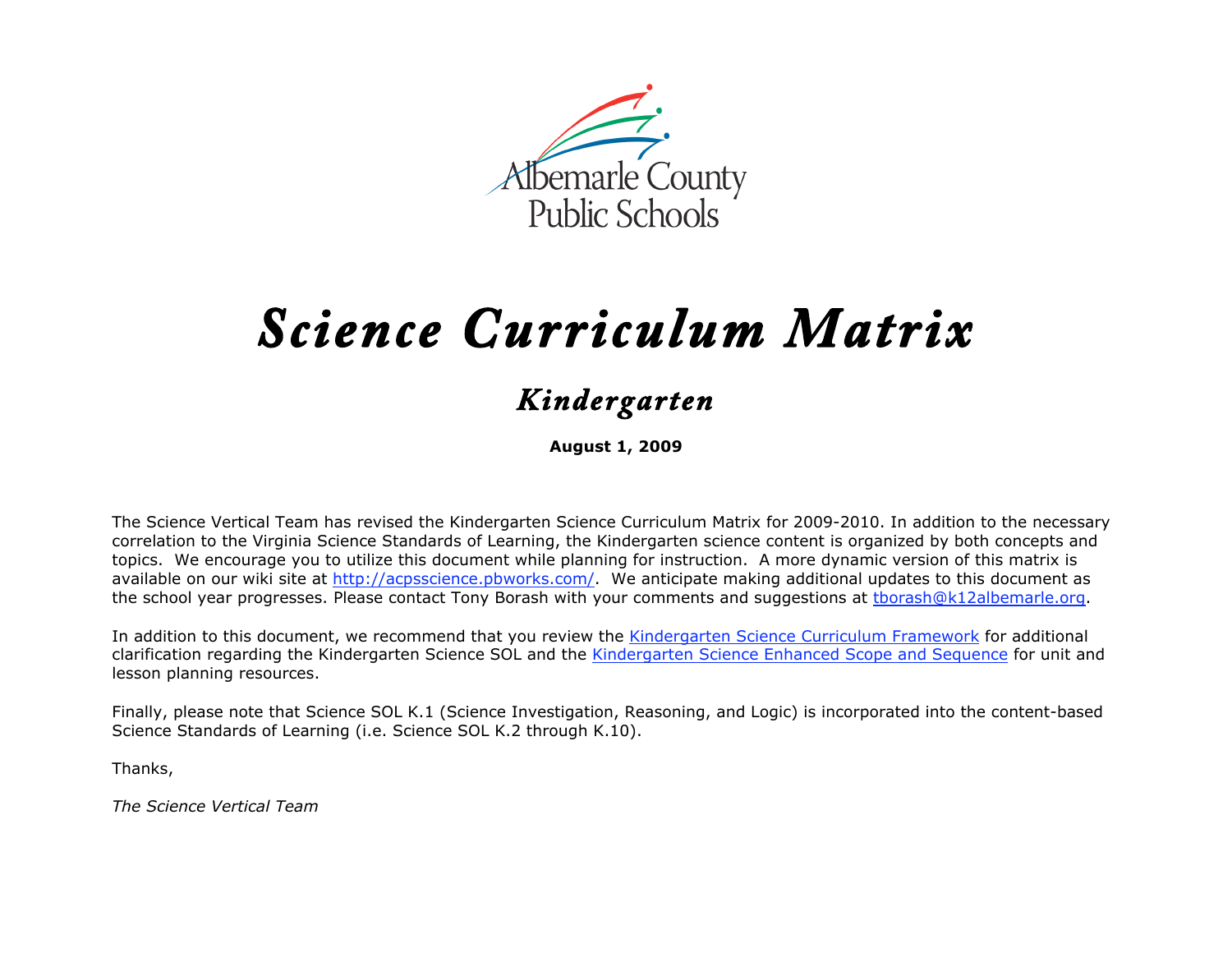

# *Science Curriculum Matrix*

## *Kindergarten*

**August 1, 2009**

The Science Vertical Team has revised the Kindergarten Science Curriculum Matrix for 2009-2010. In addition to the necessary correlation to the Virginia Science Standards of Learning, the Kindergarten science content is organized by both concepts and topics. We encourage you to utilize this document while planning for instruction. A more dynamic version of this matrix is available on our wiki site at http://acpsscience.pbworks.com/. We anticipate making additional updates to this document as the school year progresses. Please contact Tony Borash with your comments and suggestions at tborash@k12albemarle.org.

In addition to this document, we recommend that you review the Kindergarten Science Curriculum Framework for additional clarification regarding the Kindergarten Science SOL and the Kindergarten Science Enhanced Scope and Sequence for unit and lesson planning resources.

Finally, please note that Science SOL K.1 (Science Investigation, Reasoning, and Logic) is incorporated into the content-based Science Standards of Learning (i.e. Science SOL K.2 through K.10).

Thanks,

*The Science Vertical Team*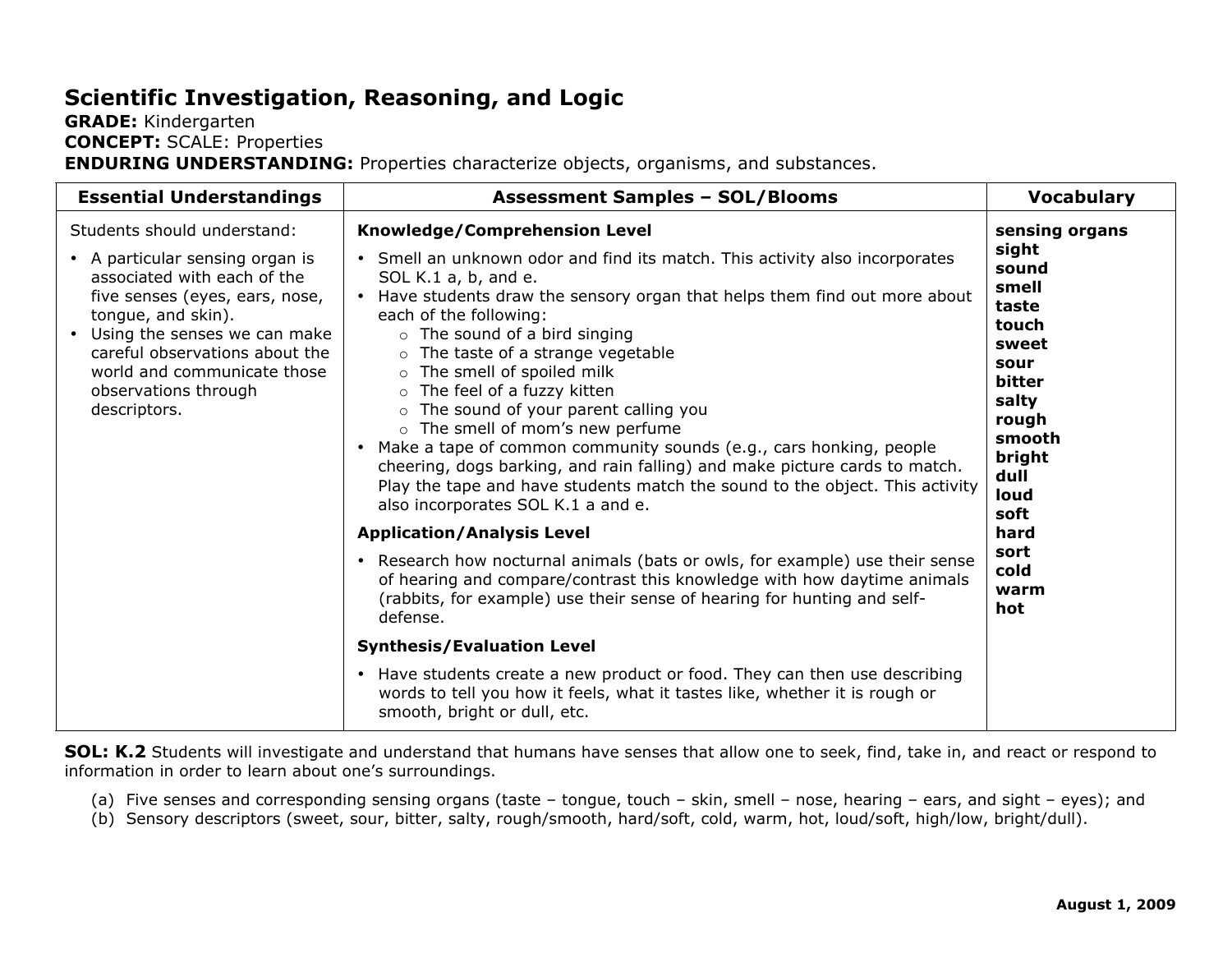## **Scientific Investigation, Reasoning, and Logic**

#### **GRADE:** Kindergarten **CONCEPT:** SCALE: Properties **ENDURING UNDERSTANDING:** Properties characterize objects, organisms, and substances.

| <b>Essential Understandings</b>                                                                                                                                                                                                                                                                  | <b>Assessment Samples - SOL/Blooms</b>                                                                                                                                                                                                                                                                                                                                                                                                                                                                                                                                                                                                                                                                                                                                                                                                                                                                                                                                                                                                                                                                                                                                                                                                                                                 | <b>Vocabulary</b>                                                                                                                                                                                  |
|--------------------------------------------------------------------------------------------------------------------------------------------------------------------------------------------------------------------------------------------------------------------------------------------------|----------------------------------------------------------------------------------------------------------------------------------------------------------------------------------------------------------------------------------------------------------------------------------------------------------------------------------------------------------------------------------------------------------------------------------------------------------------------------------------------------------------------------------------------------------------------------------------------------------------------------------------------------------------------------------------------------------------------------------------------------------------------------------------------------------------------------------------------------------------------------------------------------------------------------------------------------------------------------------------------------------------------------------------------------------------------------------------------------------------------------------------------------------------------------------------------------------------------------------------------------------------------------------------|----------------------------------------------------------------------------------------------------------------------------------------------------------------------------------------------------|
| Students should understand:<br>• A particular sensing organ is<br>associated with each of the<br>five senses (eyes, ears, nose,<br>tongue, and skin).<br>• Using the senses we can make<br>careful observations about the<br>world and communicate those<br>observations through<br>descriptors. | Knowledge/Comprehension Level<br>• Smell an unknown odor and find its match. This activity also incorporates<br>SOL K.1 a, b, and e.<br>• Have students draw the sensory organ that helps them find out more about<br>each of the following:<br>o The sound of a bird singing<br>$\circ$ The taste of a strange vegetable<br>o The smell of spoiled milk<br>o The feel of a fuzzy kitten<br>o The sound of your parent calling you<br>o The smell of mom's new perfume<br>Make a tape of common community sounds (e.g., cars honking, people<br>$\bullet$<br>cheering, dogs barking, and rain falling) and make picture cards to match.<br>Play the tape and have students match the sound to the object. This activity<br>also incorporates SOL K.1 a and e.<br><b>Application/Analysis Level</b><br>• Research how nocturnal animals (bats or owls, for example) use their sense<br>of hearing and compare/contrast this knowledge with how daytime animals<br>(rabbits, for example) use their sense of hearing for hunting and self-<br>defense.<br><b>Synthesis/Evaluation Level</b><br>• Have students create a new product or food. They can then use describing<br>words to tell you how it feels, what it tastes like, whether it is rough or<br>smooth, bright or dull, etc. | sensing organs<br>sight<br>sound<br>smell<br>taste<br>touch<br>sweet<br>sour<br><b>bitter</b><br>salty<br>rough<br>smooth<br>bright<br>dull<br>loud<br>soft<br>hard<br>sort<br>cold<br>warm<br>hot |

**SOL: K.2** Students will investigate and understand that humans have senses that allow one to seek, find, take in, and react or respond to information in order to learn about one's surroundings.

- (a) Five senses and corresponding sensing organs (taste tongue, touch skin, smell nose, hearing ears, and sight eyes); and
- (b) Sensory descriptors (sweet, sour, bitter, salty, rough/smooth, hard/soft, cold, warm, hot, loud/soft, high/low, bright/dull).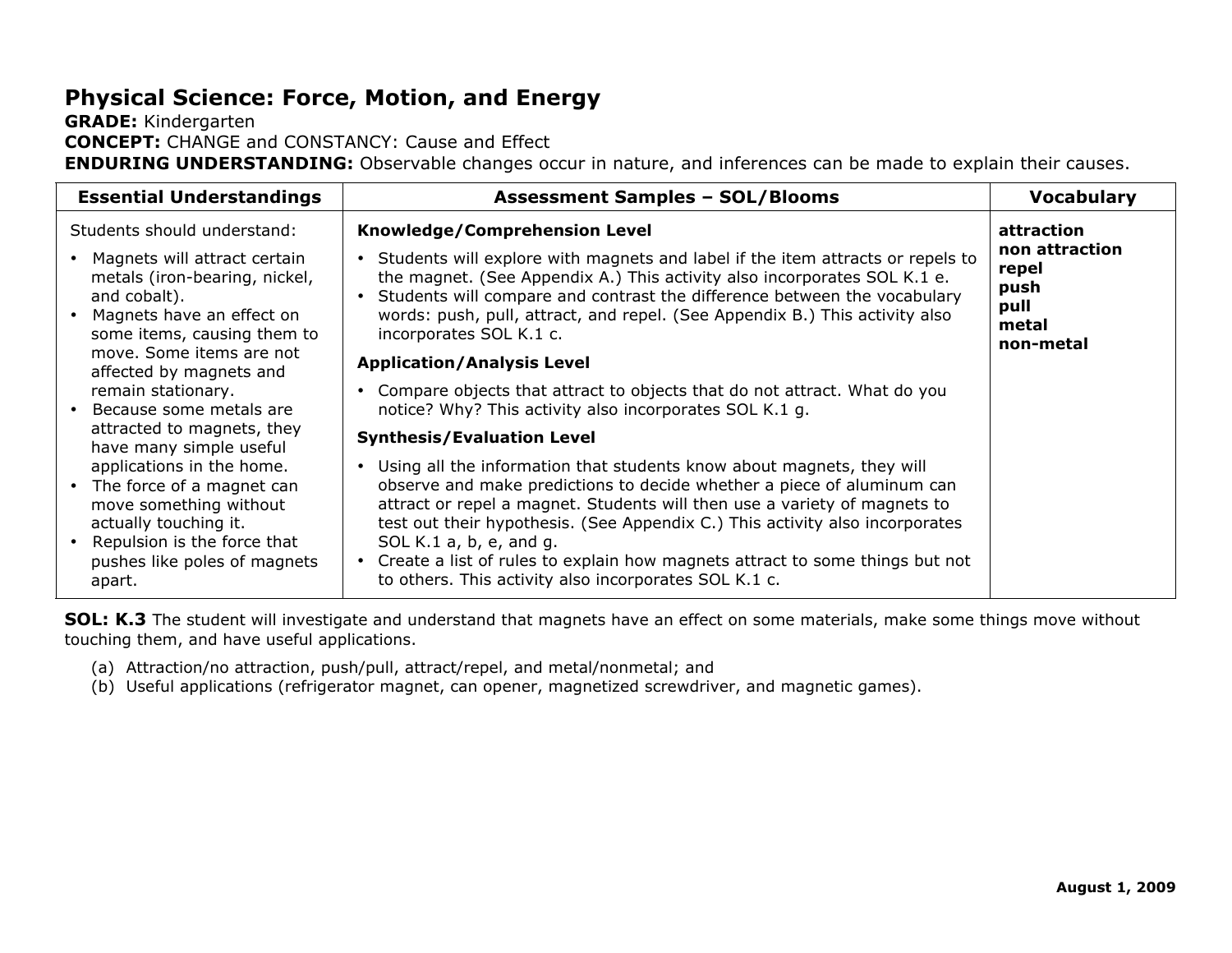## **Physical Science: Force, Motion, and Energy**

**GRADE:** Kindergarten **CONCEPT:** CHANGE and CONSTANCY: Cause and Effect **ENDURING UNDERSTANDING:** Observable changes occur in nature, and inferences can be made to explain their causes.

| <b>Essential Understandings</b>                                                                                                                                                                                   | <b>Assessment Samples - SOL/Blooms</b>                                                                                                                                                                                                                                                                                                                                                                                                                                                 | <b>Vocabulary</b>                                     |
|-------------------------------------------------------------------------------------------------------------------------------------------------------------------------------------------------------------------|----------------------------------------------------------------------------------------------------------------------------------------------------------------------------------------------------------------------------------------------------------------------------------------------------------------------------------------------------------------------------------------------------------------------------------------------------------------------------------------|-------------------------------------------------------|
| Students should understand:<br>• Magnets will attract certain<br>metals (iron-bearing, nickel,<br>and cobalt).<br>Magnets have an effect on                                                                       | Knowledge/Comprehension Level<br>Students will explore with magnets and label if the item attracts or repels to<br>$\bullet$<br>the magnet. (See Appendix A.) This activity also incorporates SOL K.1 e.<br>Students will compare and contrast the difference between the vocabulary<br>words: push, pull, attract, and repel. (See Appendix B.) This activity also                                                                                                                    | attraction<br>non attraction<br>repel<br>push<br>pull |
| some items, causing them to<br>move. Some items are not<br>affected by magnets and<br>remain stationary.<br>• Because some metals are<br>attracted to magnets, they                                               | incorporates SOL K.1 c.<br><b>Application/Analysis Level</b><br>Compare objects that attract to objects that do not attract. What do you<br>notice? Why? This activity also incorporates SOL K.1 g.<br><b>Synthesis/Evaluation Level</b>                                                                                                                                                                                                                                               | metal<br>non-metal                                    |
| have many simple useful<br>applications in the home.<br>• The force of a magnet can<br>move something without<br>actually touching it.<br>• Repulsion is the force that<br>pushes like poles of magnets<br>apart. | Using all the information that students know about magnets, they will<br>observe and make predictions to decide whether a piece of aluminum can<br>attract or repel a magnet. Students will then use a variety of magnets to<br>test out their hypothesis. (See Appendix C.) This activity also incorporates<br>SOL K.1 $a, b, e,$ and $g.$<br>• Create a list of rules to explain how magnets attract to some things but not<br>to others. This activity also incorporates SOL K.1 c. |                                                       |

**SOL: K.3** The student will investigate and understand that magnets have an effect on some materials, make some things move without touching them, and have useful applications.

- (a) Attraction/no attraction, push/pull, attract/repel, and metal/nonmetal; and
- (b) Useful applications (refrigerator magnet, can opener, magnetized screwdriver, and magnetic games).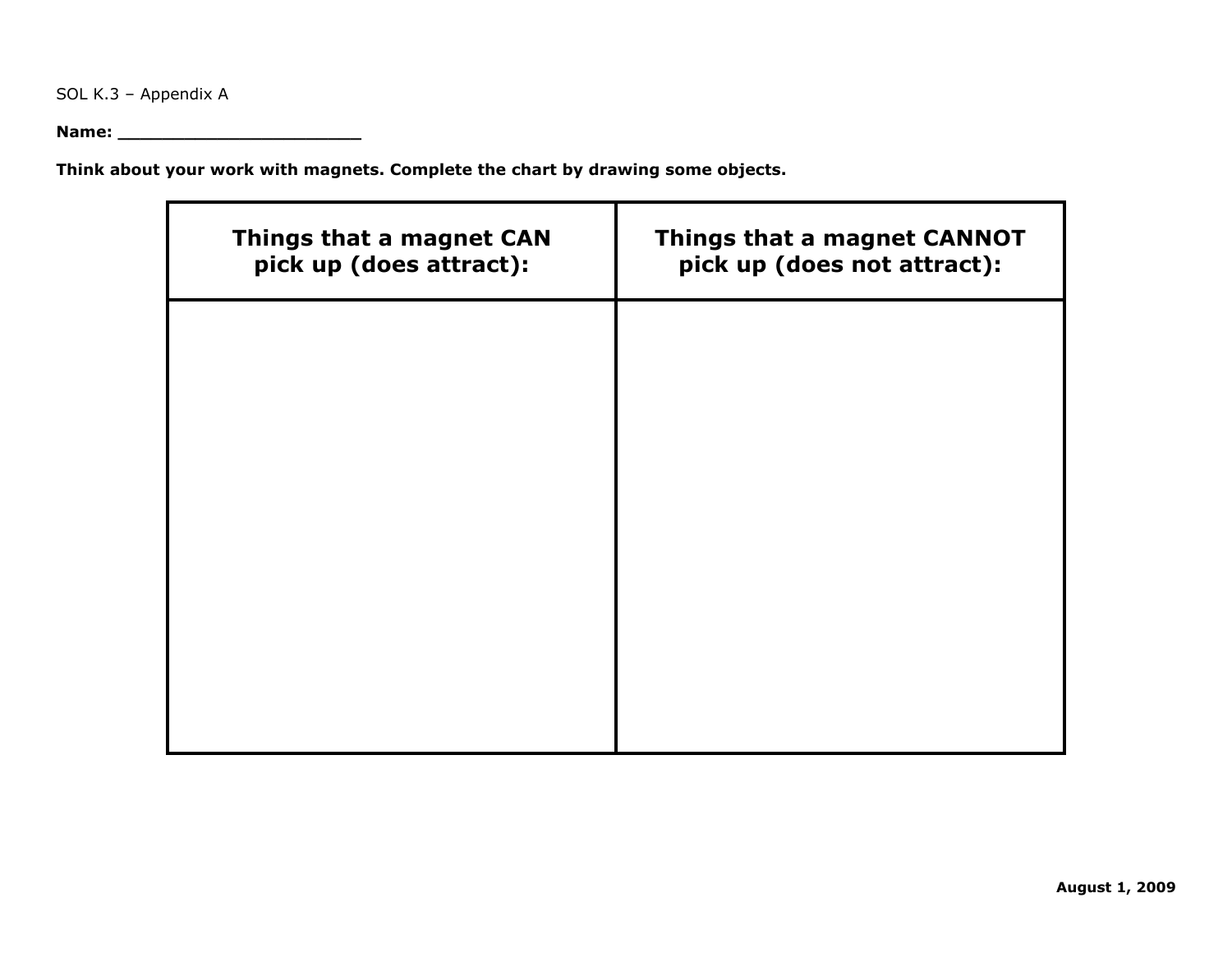SOL K.3 – Appendix A

**Name: \_\_\_\_\_\_\_\_\_\_\_\_\_\_\_\_\_\_\_\_\_\_**

**Think about your work with magnets. Complete the chart by drawing some objects.**

| Things that a magnet CAN<br>pick up (does attract): | Things that a magnet CANNOT<br>pick up (does not attract): |
|-----------------------------------------------------|------------------------------------------------------------|
|                                                     |                                                            |
|                                                     |                                                            |
|                                                     |                                                            |
|                                                     |                                                            |
|                                                     |                                                            |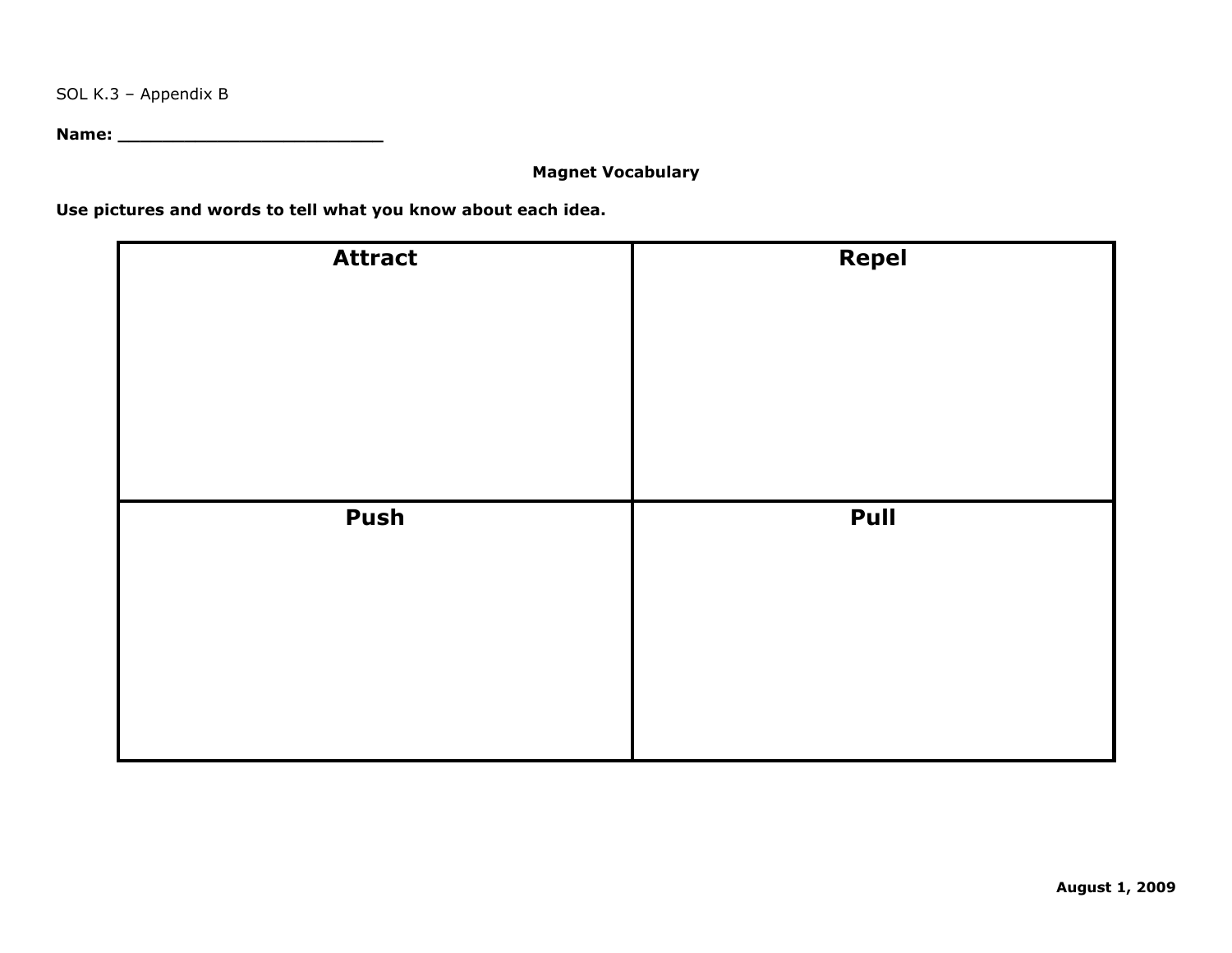SOL K.3 – Appendix B

**Name: \_\_\_\_\_\_\_\_\_\_\_\_\_\_\_\_\_\_\_\_\_\_\_\_**

#### **Magnet Vocabulary**

**Use pictures and words to tell what you know about each idea.**

| <b>Attract</b> | <b>Repel</b> |
|----------------|--------------|
| Push           | Pull         |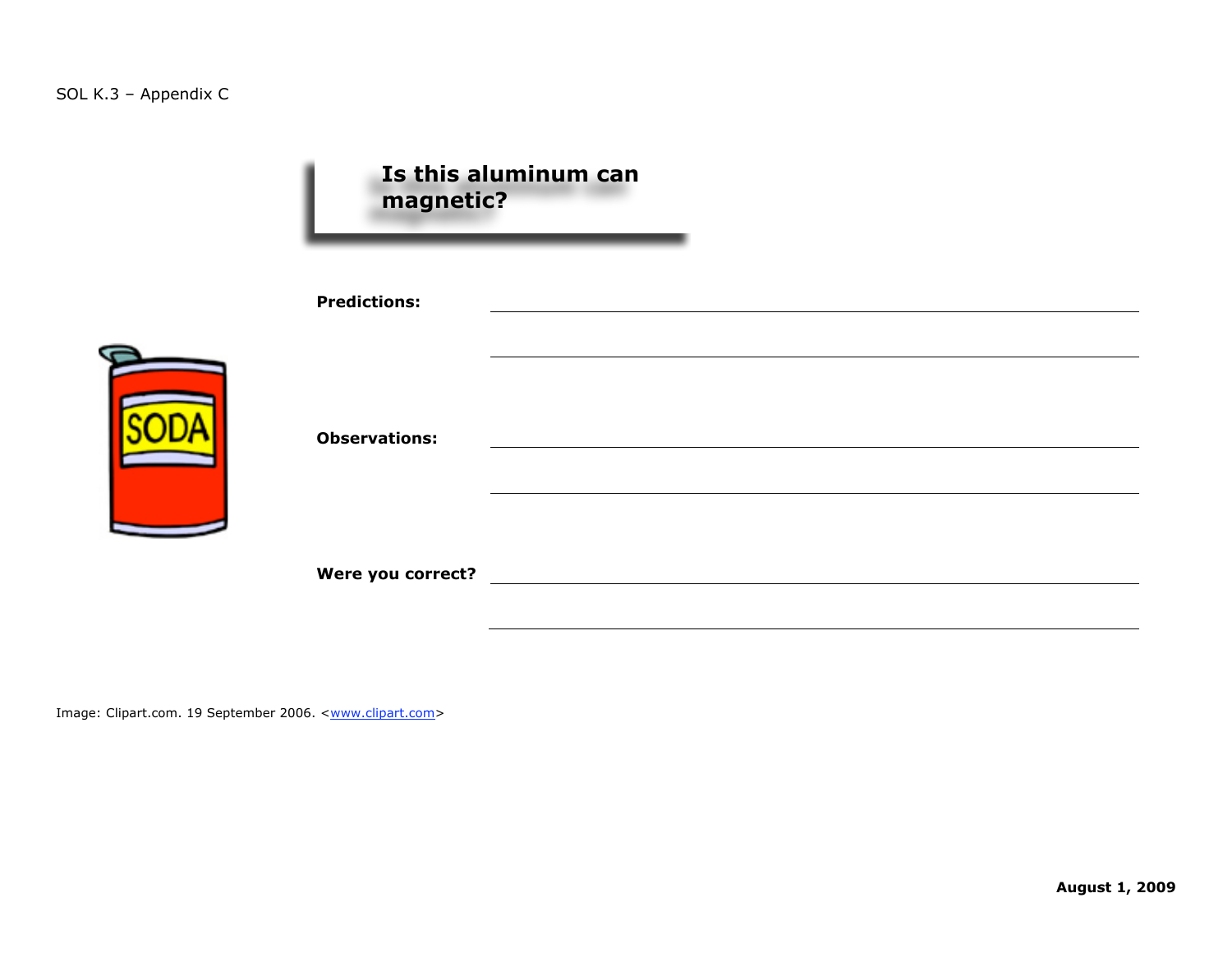| magnetic?            | Is this aluminum can |  |
|----------------------|----------------------|--|
| <b>Predictions:</b>  |                      |  |
| <b>Observations:</b> |                      |  |
|                      |                      |  |

Image: Clipart.com. 19 September 2006. <**www.clipart.com>**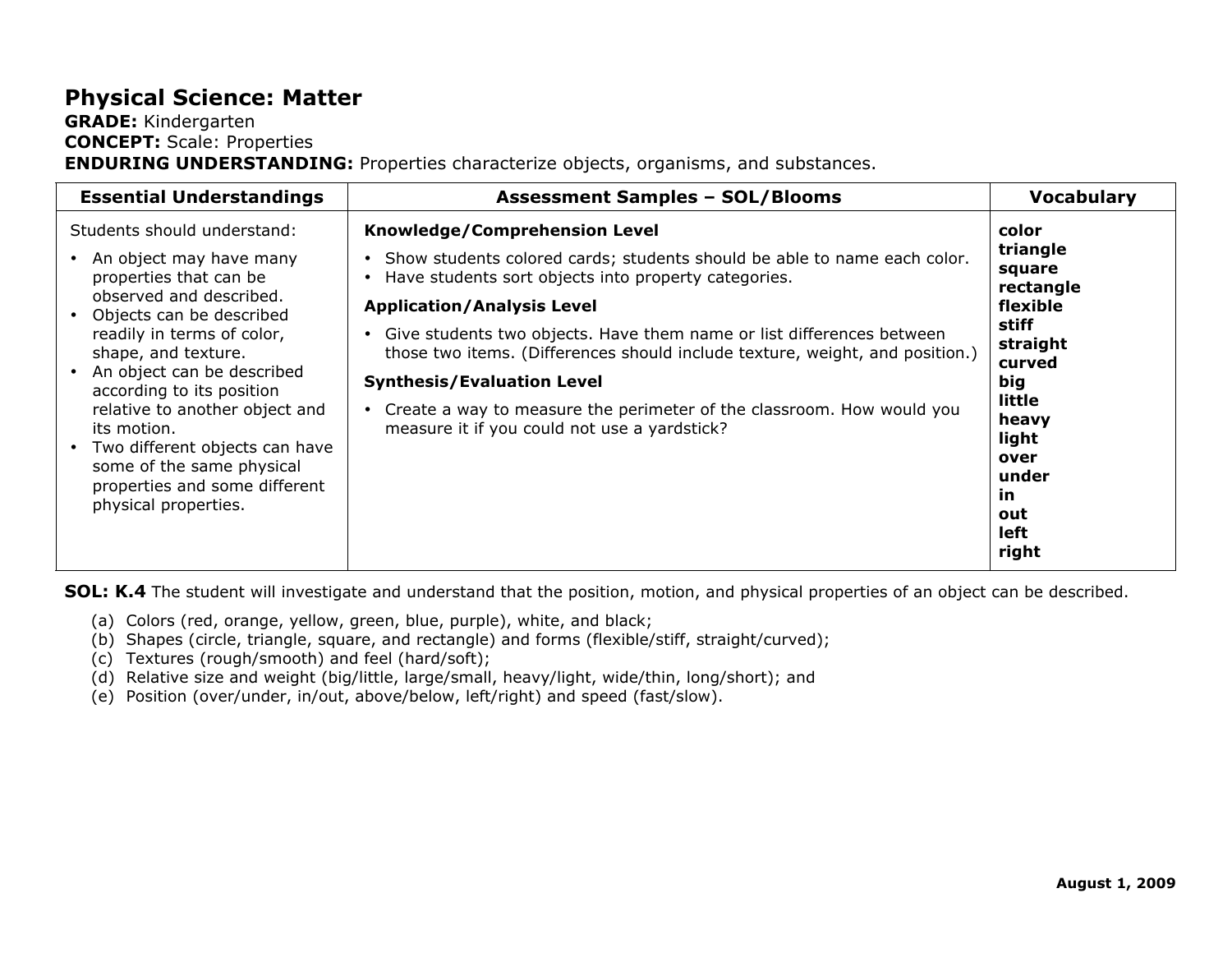## **Physical Science: Matter**

#### **GRADE:** Kindergarten **CONCEPT:** Scale: Properties **ENDURING UNDERSTANDING:** Properties characterize objects, organisms, and substances.

| <b>Essential Understandings</b>                                                                                                                                                                                                    | <b>Assessment Samples - SOL/Blooms</b>                                                                                                                                                                                                                                                                                                                            | <b>Vocabulary</b>                                                                        |
|------------------------------------------------------------------------------------------------------------------------------------------------------------------------------------------------------------------------------------|-------------------------------------------------------------------------------------------------------------------------------------------------------------------------------------------------------------------------------------------------------------------------------------------------------------------------------------------------------------------|------------------------------------------------------------------------------------------|
| Students should understand:<br>• An object may have many<br>properties that can be<br>observed and described.<br>Objects can be described<br>readily in terms of color,<br>shape, and texture.                                     | Knowledge/Comprehension Level<br>. Show students colored cards; students should be able to name each color.<br>Have students sort objects into property categories.<br><b>Application/Analysis Level</b><br>Give students two objects. Have them name or list differences between<br>those two items. (Differences should include texture, weight, and position.) | color<br>triangle<br>square<br>rectangle<br>flexible<br>stiff<br>straight                |
| An object can be described<br>according to its position<br>relative to another object and<br>its motion.<br>• Two different objects can have<br>some of the same physical<br>properties and some different<br>physical properties. | <b>Synthesis/Evaluation Level</b><br>Create a way to measure the perimeter of the classroom. How would you<br>measure it if you could not use a yardstick?                                                                                                                                                                                                        | curved<br>big<br>little<br>heavy<br>light<br>over<br>under<br>in<br>out<br>left<br>right |

**SOL: K.4** The student will investigate and understand that the position, motion, and physical properties of an object can be described.

- (a) Colors (red, orange, yellow, green, blue, purple), white, and black;
- (b) Shapes (circle, triangle, square, and rectangle) and forms (flexible/stiff, straight/curved);
- (c) Textures (rough/smooth) and feel (hard/soft);
- (d) Relative size and weight (big/little, large/small, heavy/light, wide/thin, long/short); and
- (e) Position (over/under, in/out, above/below, left/right) and speed (fast/slow).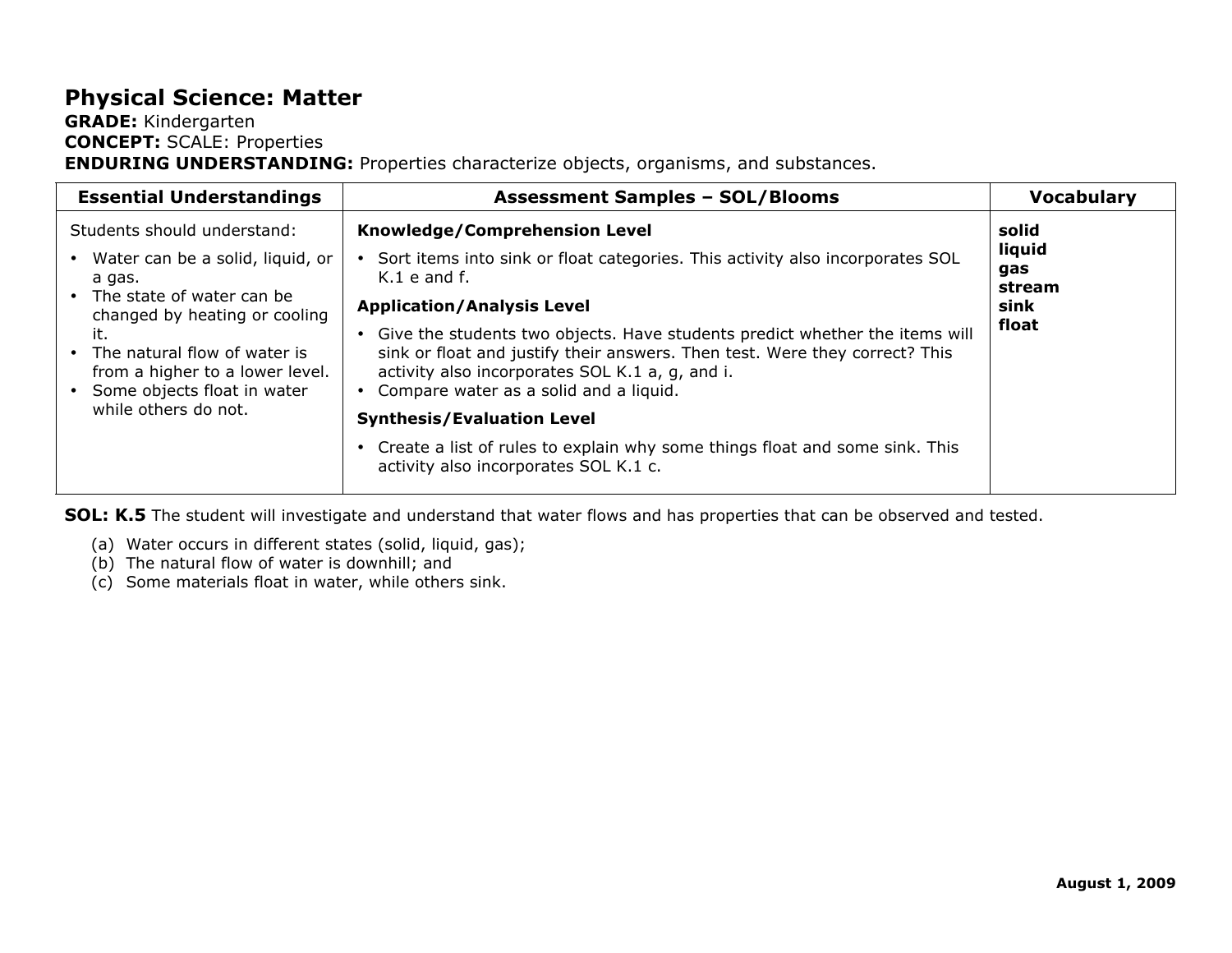## **Physical Science: Matter**

#### **GRADE:** Kindergarten **CONCEPT:** SCALE: Properties **ENDURING UNDERSTANDING:** Properties characterize objects, organisms, and substances.

| <b>Essential Understandings</b>                                                                                                                                                                                                                                                  | <b>Assessment Samples - SOL/Blooms</b>                                                                                                                                                                                                                                                                                                                                                                                                                                                                                                                     | <b>Vocabulary</b>                                 |
|----------------------------------------------------------------------------------------------------------------------------------------------------------------------------------------------------------------------------------------------------------------------------------|------------------------------------------------------------------------------------------------------------------------------------------------------------------------------------------------------------------------------------------------------------------------------------------------------------------------------------------------------------------------------------------------------------------------------------------------------------------------------------------------------------------------------------------------------------|---------------------------------------------------|
| Students should understand:<br>• Water can be a solid, liquid, or<br>a qas.<br>• The state of water can be<br>changed by heating or cooling<br>it.<br>• The natural flow of water is<br>from a higher to a lower level.<br>• Some objects float in water<br>while others do not. | Knowledge/Comprehension Level<br>Sort items into sink or float categories. This activity also incorporates SOL<br>$K.1$ e and f.<br><b>Application/Analysis Level</b><br>• Give the students two objects. Have students predict whether the items will<br>sink or float and justify their answers. Then test. Were they correct? This<br>activity also incorporates SOL K.1 a, g, and i.<br>• Compare water as a solid and a liquid.<br><b>Synthesis/Evaluation Level</b><br>• Create a list of rules to explain why some things float and some sink. This | solid<br>liquid<br>gas<br>stream<br>sink<br>float |
|                                                                                                                                                                                                                                                                                  | activity also incorporates SOL K.1 c.                                                                                                                                                                                                                                                                                                                                                                                                                                                                                                                      |                                                   |

**SOL: K.5** The student will investigate and understand that water flows and has properties that can be observed and tested.

- (a) Water occurs in different states (solid, liquid, gas);
- (b) The natural flow of water is downhill; and
- (c) Some materials float in water, while others sink.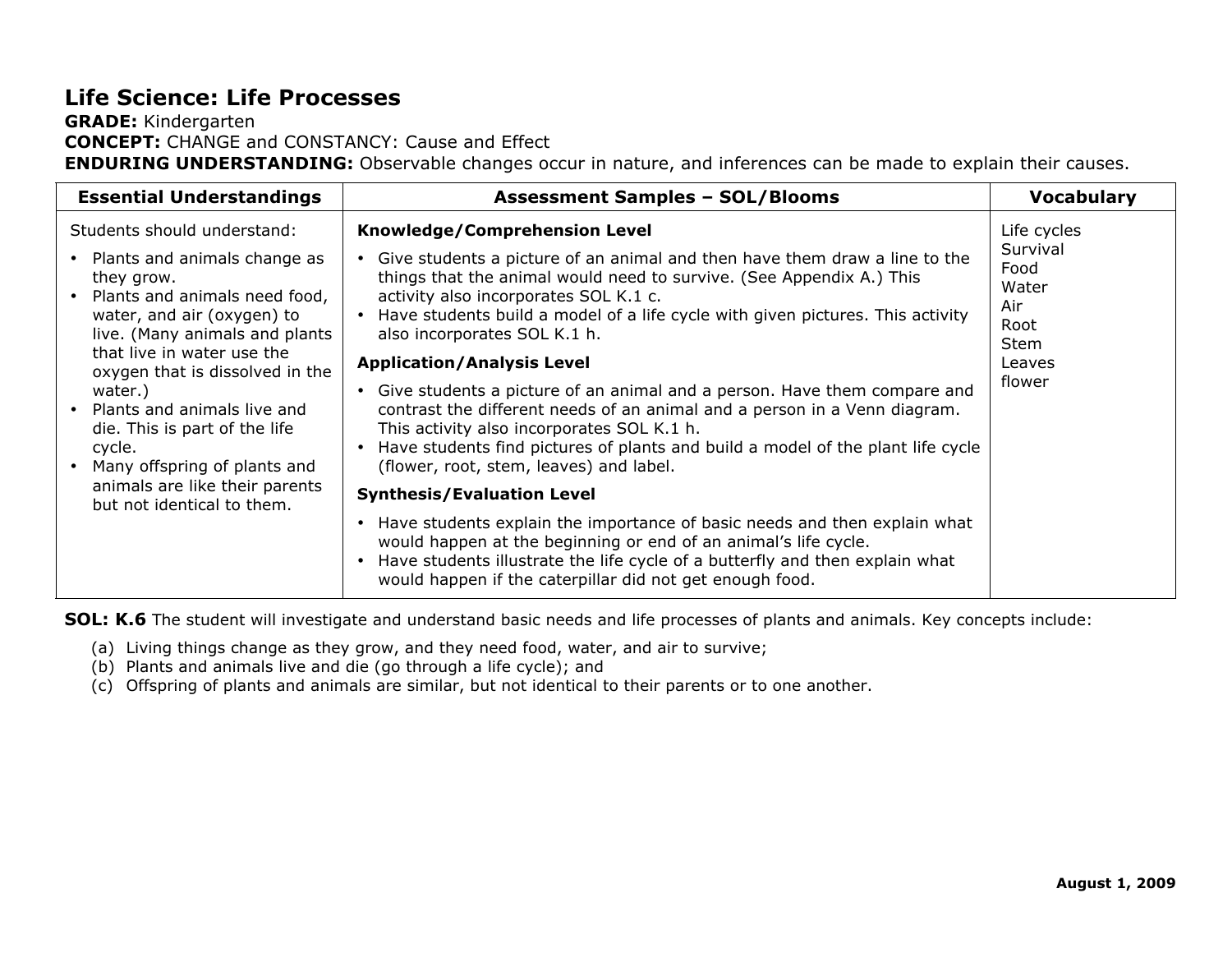## **Life Science: Life Processes**

#### **GRADE:** Kindergarten **CONCEPT:** CHANGE and CONSTANCY: Cause and Effect **ENDURING UNDERSTANDING:** Observable changes occur in nature, and inferences can be made to explain their causes.

| <b>Essential Understandings</b>                                                                                                                                                                                                                                                                                                                                        | <b>Assessment Samples - SOL/Blooms</b>                                                                                                                                                                                                                                                                                                                                                                                                                                                                                                                                                                                                                                                                                     | <b>Vocabulary</b>                                                                          |
|------------------------------------------------------------------------------------------------------------------------------------------------------------------------------------------------------------------------------------------------------------------------------------------------------------------------------------------------------------------------|----------------------------------------------------------------------------------------------------------------------------------------------------------------------------------------------------------------------------------------------------------------------------------------------------------------------------------------------------------------------------------------------------------------------------------------------------------------------------------------------------------------------------------------------------------------------------------------------------------------------------------------------------------------------------------------------------------------------------|--------------------------------------------------------------------------------------------|
| Students should understand:<br>• Plants and animals change as<br>they grow.<br>• Plants and animals need food,<br>water, and air (oxygen) to<br>live. (Many animals and plants<br>that live in water use the<br>oxygen that is dissolved in the<br>water.)<br>• Plants and animals live and<br>die. This is part of the life<br>cycle.<br>Many offspring of plants and | Knowledge/Comprehension Level<br>Give students a picture of an animal and then have them draw a line to the<br>things that the animal would need to survive. (See Appendix A.) This<br>activity also incorporates SOL K.1 c.<br>• Have students build a model of a life cycle with given pictures. This activity<br>also incorporates SOL K.1 h.<br><b>Application/Analysis Level</b><br>Give students a picture of an animal and a person. Have them compare and<br>contrast the different needs of an animal and a person in a Venn diagram.<br>This activity also incorporates SOL K.1 h.<br>Have students find pictures of plants and build a model of the plant life cycle<br>(flower, root, stem, leaves) and label. | Life cycles<br>Survival<br>Food<br>Water<br>Air<br>Root<br><b>Stem</b><br>Leaves<br>flower |
| animals are like their parents<br>but not identical to them.                                                                                                                                                                                                                                                                                                           | <b>Synthesis/Evaluation Level</b>                                                                                                                                                                                                                                                                                                                                                                                                                                                                                                                                                                                                                                                                                          |                                                                                            |
|                                                                                                                                                                                                                                                                                                                                                                        | • Have students explain the importance of basic needs and then explain what<br>would happen at the beginning or end of an animal's life cycle.<br>• Have students illustrate the life cycle of a butterfly and then explain what<br>would happen if the caterpillar did not get enough food.                                                                                                                                                                                                                                                                                                                                                                                                                               |                                                                                            |

**SOL: K.6** The student will investigate and understand basic needs and life processes of plants and animals. Key concepts include:

- (a) Living things change as they grow, and they need food, water, and air to survive;
- (b) Plants and animals live and die (go through a life cycle); and
- (c) Offspring of plants and animals are similar, but not identical to their parents or to one another.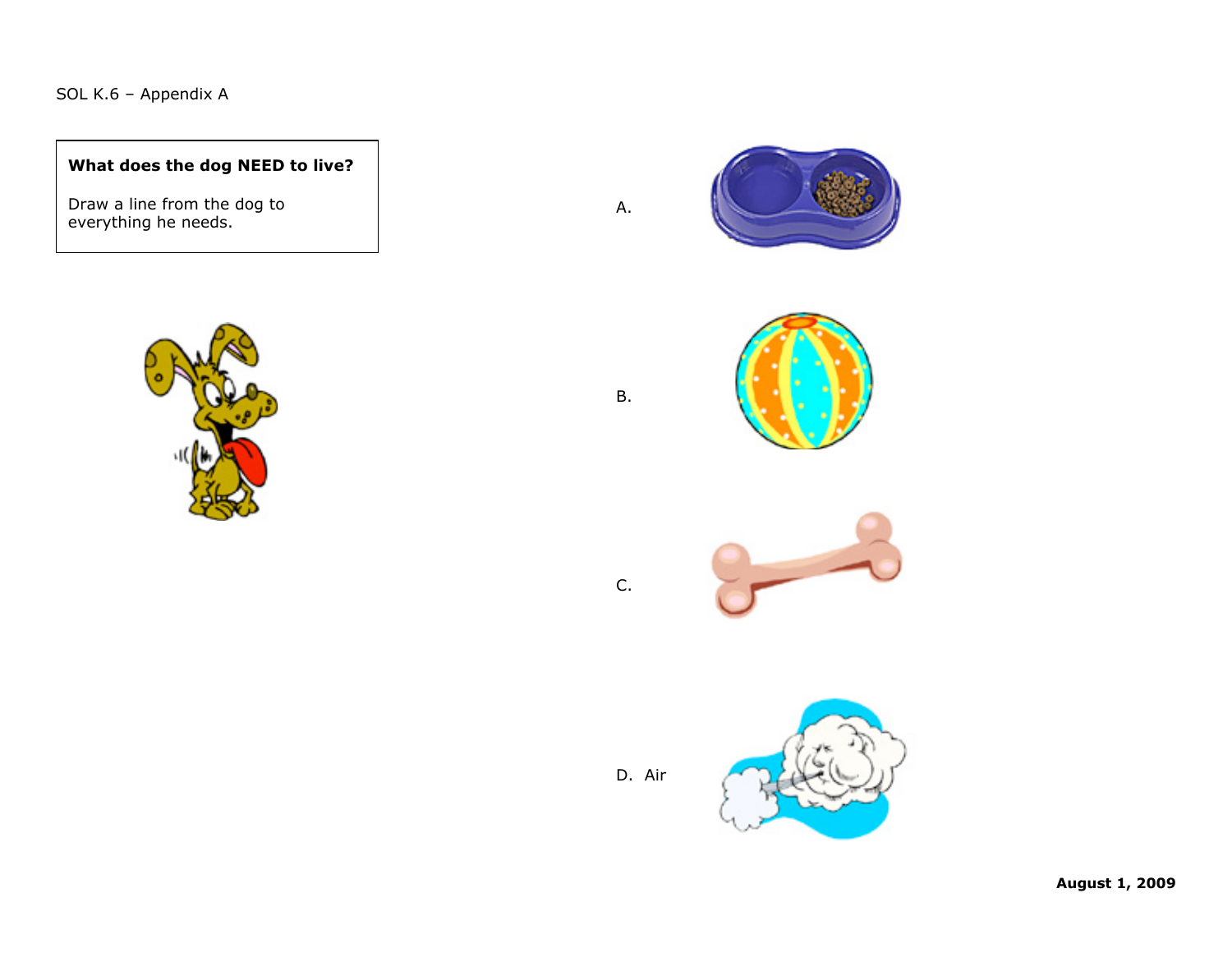#### SOL K.6 – Appendix A

#### **What does the dog NEED to live?**

Draw a line from the dog to everything he needs.



A.

B.

C.







D. Air

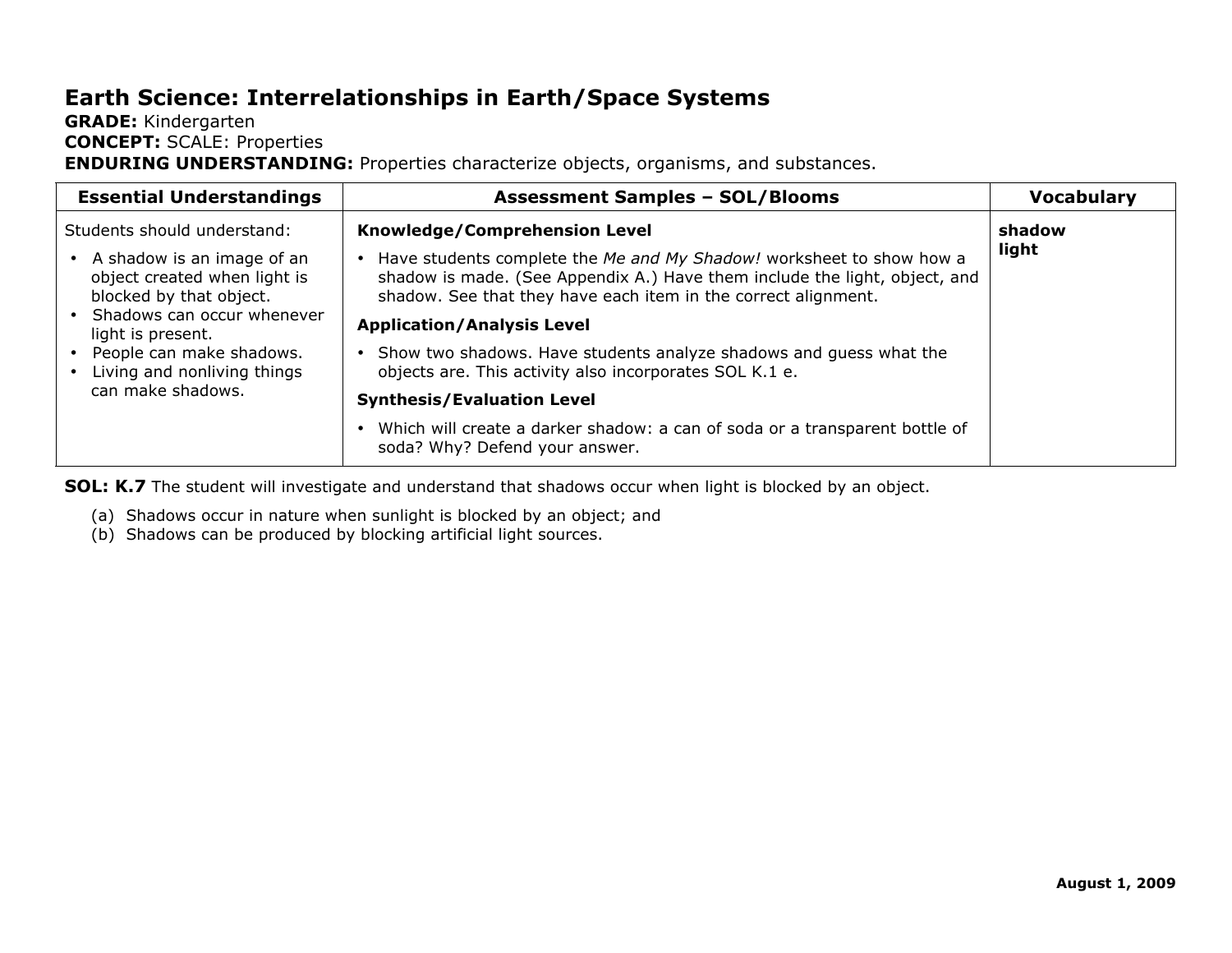## **Earth Science: Interrelationships in Earth/Space Systems**

#### **GRADE:** Kindergarten **CONCEPT:** SCALE: Properties **ENDURING UNDERSTANDING:** Properties characterize objects, organisms, and substances.

| <b>Essential Understandings</b>                                                                                     | <b>Assessment Samples - SOL/Blooms</b>                                                                                                                                                                               | <b>Vocabulary</b> |
|---------------------------------------------------------------------------------------------------------------------|----------------------------------------------------------------------------------------------------------------------------------------------------------------------------------------------------------------------|-------------------|
| Students should understand:                                                                                         | Knowledge/Comprehension Level                                                                                                                                                                                        | shadow            |
| A shadow is an image of an<br>object created when light is<br>blocked by that object.<br>Shadows can occur whenever | Have students complete the Me and My Shadow! worksheet to show how a<br>shadow is made. (See Appendix A.) Have them include the light, object, and<br>shadow. See that they have each item in the correct alignment. | light             |
| light is present.                                                                                                   | <b>Application/Analysis Level</b>                                                                                                                                                                                    |                   |
| People can make shadows.<br>Living and nonliving things                                                             | • Show two shadows. Have students analyze shadows and guess what the<br>objects are. This activity also incorporates SOL K.1 e.                                                                                      |                   |
| can make shadows.                                                                                                   | <b>Synthesis/Evaluation Level</b>                                                                                                                                                                                    |                   |
|                                                                                                                     | Which will create a darker shadow: a can of soda or a transparent bottle of<br>soda? Why? Defend your answer.                                                                                                        |                   |

**SOL: K.7** The student will investigate and understand that shadows occur when light is blocked by an object.

- (a) Shadows occur in nature when sunlight is blocked by an object; and
- (b) Shadows can be produced by blocking artificial light sources.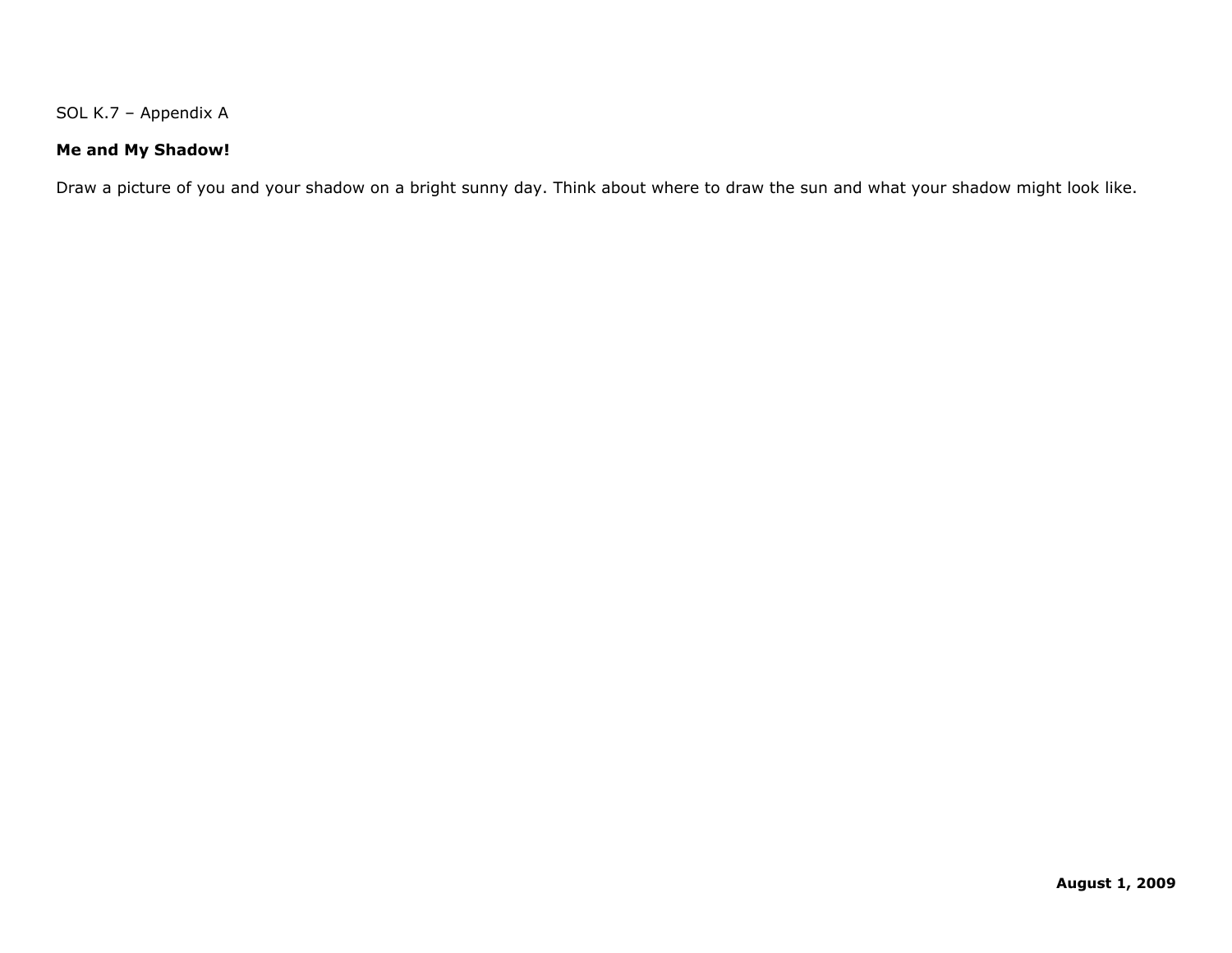SOL K.7 – Appendix A

#### **Me and My Shadow!**

Draw a picture of you and your shadow on a bright sunny day. Think about where to draw the sun and what your shadow might look like.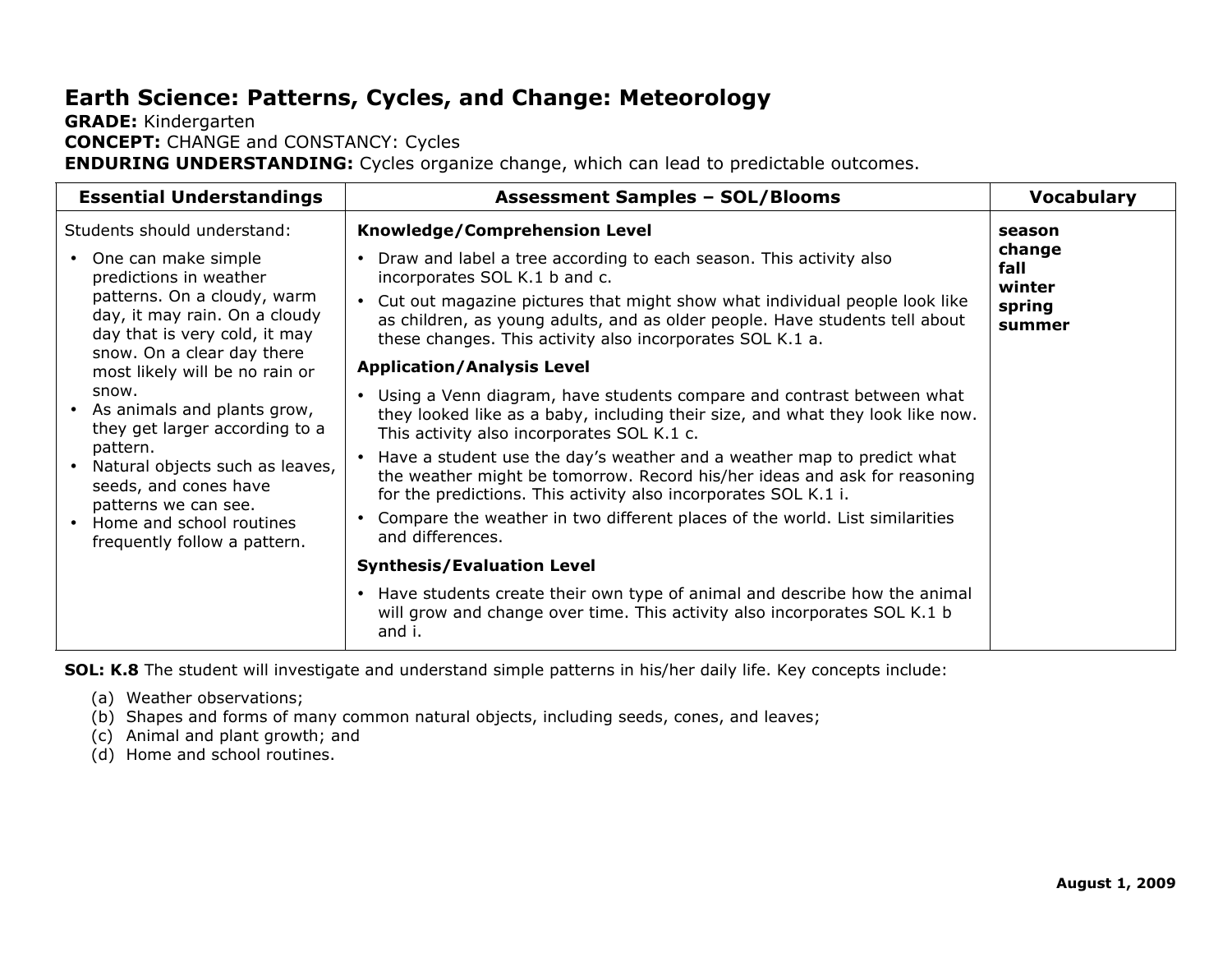## **Earth Science: Patterns, Cycles, and Change: Meteorology**

#### **GRADE:** Kindergarten **CONCEPT:** CHANGE and CONSTANCY: Cycles **ENDURING UNDERSTANDING:** Cycles organize change, which can lead to predictable outcomes.

| <b>Essential Understandings</b>                                                                                                                  | <b>Assessment Samples - SOL/Blooms</b>                                                                                                                                                                                                                                                                                                     | <b>Vocabulary</b>                            |
|--------------------------------------------------------------------------------------------------------------------------------------------------|--------------------------------------------------------------------------------------------------------------------------------------------------------------------------------------------------------------------------------------------------------------------------------------------------------------------------------------------|----------------------------------------------|
| Students should understand:                                                                                                                      | Knowledge/Comprehension Level                                                                                                                                                                                                                                                                                                              | season                                       |
| • One can make simple<br>predictions in weather<br>patterns. On a cloudy, warm<br>day, it may rain. On a cloudy<br>day that is very cold, it may | Draw and label a tree according to each season. This activity also<br>$\bullet$<br>incorporates SOL K.1 b and c.<br>Cut out magazine pictures that might show what individual people look like<br>as children, as young adults, and as older people. Have students tell about<br>these changes. This activity also incorporates SOL K.1 a. | change<br>fall<br>winter<br>spring<br>summer |
| snow. On a clear day there<br>most likely will be no rain or                                                                                     | <b>Application/Analysis Level</b>                                                                                                                                                                                                                                                                                                          |                                              |
| snow.<br>• As animals and plants grow,<br>they get larger according to a                                                                         | Using a Venn diagram, have students compare and contrast between what<br>they looked like as a baby, including their size, and what they look like now.<br>This activity also incorporates SOL K.1 c.                                                                                                                                      |                                              |
| pattern.<br>Natural objects such as leaves,<br>seeds, and cones have                                                                             | Have a student use the day's weather and a weather map to predict what<br>the weather might be tomorrow. Record his/her ideas and ask for reasoning<br>for the predictions. This activity also incorporates SOL K.1 i.                                                                                                                     |                                              |
| patterns we can see.<br>• Home and school routines<br>frequently follow a pattern.                                                               | Compare the weather in two different places of the world. List similarities<br>and differences.                                                                                                                                                                                                                                            |                                              |
|                                                                                                                                                  | <b>Synthesis/Evaluation Level</b>                                                                                                                                                                                                                                                                                                          |                                              |
|                                                                                                                                                  | • Have students create their own type of animal and describe how the animal<br>will grow and change over time. This activity also incorporates SOL K.1 b<br>and i.                                                                                                                                                                         |                                              |

**SOL: K.8** The student will investigate and understand simple patterns in his/her daily life. Key concepts include:

- (a) Weather observations;
- (b) Shapes and forms of many common natural objects, including seeds, cones, and leaves;
- (c) Animal and plant growth; and
- (d) Home and school routines.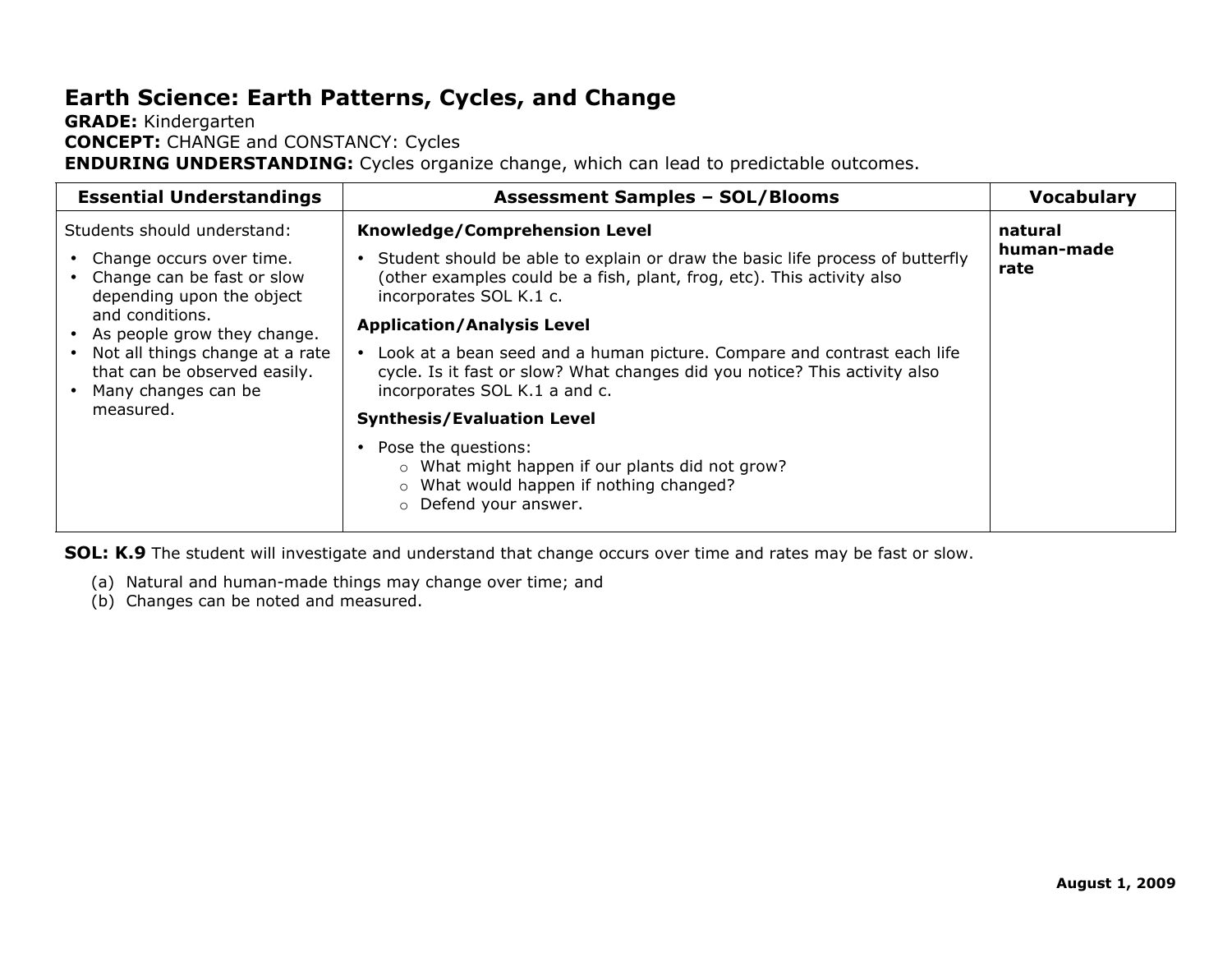## **Earth Science: Earth Patterns, Cycles, and Change**

#### **GRADE:** Kindergarten **CONCEPT:** CHANGE and CONSTANCY: Cycles **ENDURING UNDERSTANDING:** Cycles organize change, which can lead to predictable outcomes.

| Students should understand:<br>Knowledge/Comprehension Level<br>natural                                                                                                                                                                                                                                                                                                                                                                                                                                                                                                                                                                                                                                                                                                                                                                                                            | <b>Essential Understandings</b> | <b>Vocabulary</b> |
|------------------------------------------------------------------------------------------------------------------------------------------------------------------------------------------------------------------------------------------------------------------------------------------------------------------------------------------------------------------------------------------------------------------------------------------------------------------------------------------------------------------------------------------------------------------------------------------------------------------------------------------------------------------------------------------------------------------------------------------------------------------------------------------------------------------------------------------------------------------------------------|---------------------------------|-------------------|
| human-made<br>Student should be able to explain or draw the basic life process of butterfly<br>• Change occurs over time.<br>rate<br>(other examples could be a fish, plant, frog, etc). This activity also<br>• Change can be fast or slow<br>depending upon the object<br>incorporates SOL K.1 c.<br>and conditions.<br><b>Application/Analysis Level</b><br>• As people grow they change.<br>• Not all things change at a rate<br>Look at a bean seed and a human picture. Compare and contrast each life<br>cycle. Is it fast or slow? What changes did you notice? This activity also<br>that can be observed easily.<br>incorporates SOL K.1 a and c.<br>Many changes can be<br>measured.<br><b>Synthesis/Evaluation Level</b><br>Pose the questions:<br>o What might happen if our plants did not grow?<br>o What would happen if nothing changed?<br>o Defend your answer. |                                 |                   |

**SOL: K.9** The student will investigate and understand that change occurs over time and rates may be fast or slow.

- (a) Natural and human-made things may change over time; and
- (b) Changes can be noted and measured.